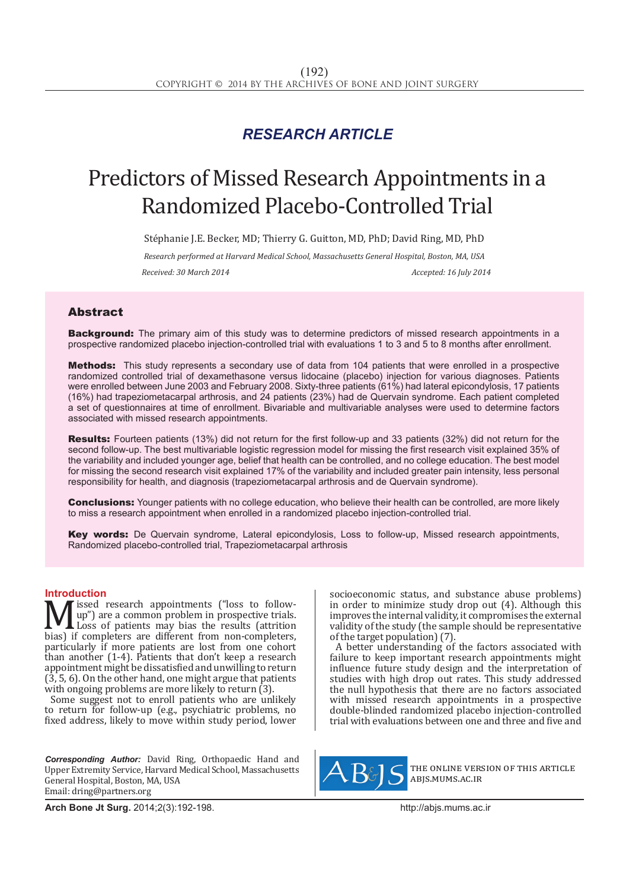## *RESEARCH ARTICLE*

# Predictors of Missed Research Appointments in a Randomized Placebo-Controlled Trial

Stéphanie J.E. Becker, MD; Thierry G. Guitton, MD, PhD; David Ring, MD, PhD

*Research performed at Harvard Medical School, Massachusetts General Hospital, Boston, MA, USA*

*Received: 30 March 2014 Accepted: 16 July 2014*

### Abstract

**Background:** The primary aim of this study was to determine predictors of missed research appointments in a prospective randomized placebo injection-controlled trial with evaluations 1 to 3 and 5 to 8 months after enrollment.

Methods: This study represents a secondary use of data from 104 patients that were enrolled in a prospective randomized controlled trial of dexamethasone versus lidocaine (placebo) injection for various diagnoses. Patients were enrolled between June 2003 and February 2008. Sixty-three patients (61%) had lateral epicondylosis, 17 patients (16%) had trapeziometacarpal arthrosis, and 24 patients (23%) had de Quervain syndrome. Each patient completed a set of questionnaires at time of enrollment. Bivariable and multivariable analyses were used to determine factors associated with missed research appointments.

Results: Fourteen patients (13%) did not return for the first follow-up and 33 patients (32%) did not return for the second follow-up. The best multivariable logistic regression model for missing the first research visit explained 35% of the variability and included younger age, belief that health can be controlled, and no college education. The best model for missing the second research visit explained 17% of the variability and included greater pain intensity, less personal responsibility for health, and diagnosis (trapeziometacarpal arthrosis and de Quervain syndrome).

**Conclusions:** Younger patients with no college education, who believe their health can be controlled, are more likely to miss a research appointment when enrolled in a randomized placebo injection-controlled trial.

Key words: De Quervain syndrome, Lateral epicondylosis, Loss to follow-up, Missed research appointments, Randomized placebo-controlled trial, Trapeziometacarpal arthrosis

**Introduction**<br>**N** *I* issed research appointments ("loss to follow-**M** issed research appointments ("loss to follow-<br>
Loss of patients may bias the results (attrition<br>
bias) if completers are different from non-completers,<br>
particularly if more patients are lost from one cobort up") are a common problem in prospective trials. Loss of patients may bias the results (attrition particularly if more patients are lost from one cohort than another (1-4). Patients that don't keep a research appointment might be dissatisfied and unwilling to return  $(3, 5, 6)$ . On the other hand, one might argue that patients with ongoing problems are more likely to return (3).

Some suggest not to enroll patients who are unlikely to return for follow-up (e.g., psychiatric problems, no fixed address, likely to move within study period, lower

*Corresponding Author:* David Ring, Orthopaedic Hand and Upper Extremity Service, Harvard Medical School, Massachusetts General Hospital, Boston, MA, USA Email: dring@partners.org

socioeconomic status, and substance abuse problems) in order to minimize study drop out (4). Although this improves the internal validity, it compromises the external validity of the study (the sample should be representative of the target population) (7).

A better understanding of the factors associated with failure to keep important research appointments might influence future study design and the interpretation of studies with high drop out rates. This study addressed the null hypothesis that there are no factors associated with missed research appointments in a prospective double-blinded randomized placebo injection-controlled trial with evaluations between one and three and five and



the online version of this article abjs.mums.ac.ir

**Arch Bone Jt Surg.** 2014;2(3):192-198.http://abjs.mums.ac.ir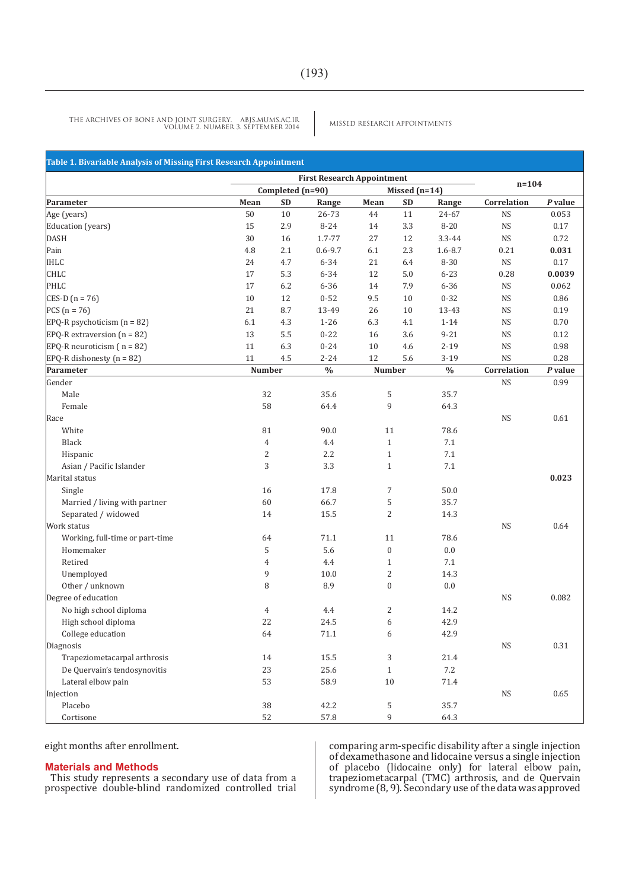MISSED RESEARCH APPOINTMENTS THE ARCHIVES OF BONE AND JOINT SURGERY. ABJS.MUMS.AC.IR VOLUME 2. NUMBER 3. SEPTEMBER 2014

| Table 1. Bivariable Analysis of Missing First Research Appointment |                |                                                       |               |                  |                 |             |                            |          |
|--------------------------------------------------------------------|----------------|-------------------------------------------------------|---------------|------------------|-----------------|-------------|----------------------------|----------|
|                                                                    |                |                                                       |               |                  |                 |             |                            |          |
|                                                                    |                | <b>First Research Appointment</b><br>Completed (n=90) |               |                  | Missed $(n=14)$ |             | $n = 104$                  |          |
| Parameter                                                          | Mean           | <b>SD</b>                                             | Range         | Mean             | <b>SD</b>       | Range       | Correlation                | P value  |
| Age (years)                                                        | 50             | 10                                                    | 26-73         | 44               | 11              | 24-67       | <b>NS</b>                  | 0.053    |
| Education (years)                                                  | 15             | 2.9                                                   | $8 - 24$      | 14               | 3.3             | $8 - 20$    | <b>NS</b>                  | 0.17     |
| <b>DASH</b>                                                        | 30             | 16                                                    | 1.7-77        | 27               | 12              | 3.3-44      | <b>NS</b>                  | 0.72     |
| Pain                                                               | 4.8            | 2.1                                                   | $0.6 - 9.7$   | $6.1\,$          | 2.3             | $1.6 - 8.7$ | 0.21                       | 0.031    |
| <b>IHLC</b>                                                        | 24             | 4.7                                                   | 6-34          | 21               | 6.4             | 8-30        | <b>NS</b>                  | $0.17\,$ |
| <b>CHLC</b>                                                        | 17             | 5.3                                                   | 6-34          | 12               | 5.0             | $6 - 23$    | 0.28                       | 0.0039   |
| PHLC                                                               | 17             | 6.2                                                   | $6 - 36$      | 14               | 7.9             | $6 - 36$    | <b>NS</b>                  | 0.062    |
| CES-D ( $n = 76$ )                                                 | 10             | 12                                                    | $0 - 52$      | 9.5              | 10              | $0 - 32$    | <b>NS</b>                  | 0.86     |
| $PCS(n = 76)$                                                      | 21             | 8.7                                                   | 13-49         | 26               | 10              | 13-43       | <b>NS</b>                  | 0.19     |
| $E PQ-R$ psychoticism $(n = 82)$                                   | 6.1            | 4.3                                                   | $1 - 26$      | 6.3              | 4.1             | $1 - 14$    | <b>NS</b>                  | $0.70\,$ |
| EPQ-R extraversion $(n = 82)$                                      | 13             | 5.5                                                   | $0 - 22$      | 16               | 3.6             | $9 - 21$    | <b>NS</b>                  | $0.12\,$ |
| EPQ-R neuroticism $(n = 82)$                                       | 11             | 6.3                                                   | $0 - 24$      | $10\,$           | 4.6             | $2 - 19$    | <b>NS</b>                  | 0.98     |
| EPQ-R dishonesty ( $n = 82$ )                                      | 11             | $4.5\,$                                               | $2 - 24$      | 12               | 5.6             | $3 - 19$    | <b>NS</b>                  | 0.28     |
| Parameter                                                          | <b>Number</b>  |                                                       | $\frac{0}{0}$ | <b>Number</b>    |                 | $\%$        | Correlation                | P value  |
| Gender                                                             |                |                                                       |               |                  |                 |             | $\rm{NS}$                  | 0.99     |
| Male                                                               | 32             |                                                       | 35.6          | 5                |                 | 35.7        |                            |          |
| Female                                                             | 58             |                                                       | 64.4          | 9                |                 | 64.3        |                            |          |
| Race                                                               |                |                                                       |               |                  |                 |             | <b>NS</b>                  | 0.61     |
| White                                                              | 81             |                                                       | 90.0          | 11               |                 | 78.6        |                            |          |
| Black                                                              | $\overline{4}$ |                                                       | 4.4           | $\mathbf{1}$     |                 | 7.1         |                            |          |
| Hispanic                                                           | $\mathbf{2}$   |                                                       | 2.2           | $\mathbf{1}$     |                 | 7.1         |                            |          |
| Asian / Pacific Islander                                           | 3              |                                                       | 3.3           | $\mathbf{1}$     |                 | 7.1         |                            |          |
| Marital status                                                     |                |                                                       |               |                  |                 |             |                            | 0.023    |
| Single                                                             | 16             |                                                       | 17.8          | $\boldsymbol{7}$ |                 | 50.0        |                            |          |
| Married / living with partner                                      | 60             |                                                       | 66.7          | 5                |                 | 35.7        |                            |          |
| Separated / widowed                                                | 14             |                                                       | 15.5          | $\overline{2}$   |                 | 14.3        |                            |          |
| Work status                                                        |                |                                                       |               |                  |                 |             | <b>NS</b>                  | 0.64     |
| Working, full-time or part-time                                    | 64             |                                                       | 71.1          | 11               |                 | 78.6        |                            |          |
| Homemaker                                                          | 5              |                                                       | 5.6           | $\boldsymbol{0}$ |                 | 0.0         |                            |          |
| Retired                                                            | 4              |                                                       | 4.4           | $\mathbf{1}$     |                 | 7.1         |                            |          |
| Unemployed                                                         | 9              |                                                       | 10.0          | $\overline{c}$   |                 | 14.3        |                            |          |
| Other / unknown                                                    | 8              |                                                       | 8.9           | $\boldsymbol{0}$ |                 | 0.0         |                            |          |
| Degree of education                                                |                |                                                       |               |                  |                 |             | <b>NS</b>                  | 0.082    |
| No high school diploma                                             | 4              |                                                       | 4.4           | $\overline{c}$   |                 | 14.2        |                            |          |
| High school diploma                                                | 22             |                                                       | 24.5          | 6                |                 | 42.9        |                            |          |
| College education                                                  | 64             |                                                       | 71.1          | 6                |                 | 42.9        |                            |          |
| Diagnosis                                                          |                |                                                       |               |                  |                 |             | <b>NS</b>                  | 0.31     |
| Trapeziometacarpal arthrosis                                       | 14             |                                                       | 15.5          | 3                |                 | 21.4        |                            |          |
| De Quervain's tendosynovitis                                       | 23             |                                                       | 25.6          | $\mathbf{1}$     |                 | $7.2\,$     |                            |          |
| Lateral elbow pain                                                 | 53             |                                                       | 58.9          | $10\,$           |                 | 71.4        |                            |          |
| Injection                                                          |                |                                                       |               |                  |                 |             | $\mathop{\rm NS}\nolimits$ | 0.65     |
| Placebo                                                            | $38\,$         |                                                       | 42.2          | 5                |                 | 35.7        |                            |          |
| Cortisone                                                          | 52             |                                                       | 57.8          | 9                |                 | 64.3        |                            |          |

eight months after enrollment.

#### **Materials and Methods**

This study represents a secondary use of data from a prospective double-blind randomized controlled trial comparing arm-specific disability after a single injection of dexamethasone and lidocaine versus a single injection of placebo (lidocaine only) for lateral elbow pain, trapeziometacarpal (TMC) arthrosis, and de Quervain syndrome (8, 9). Secondary use of the data was approved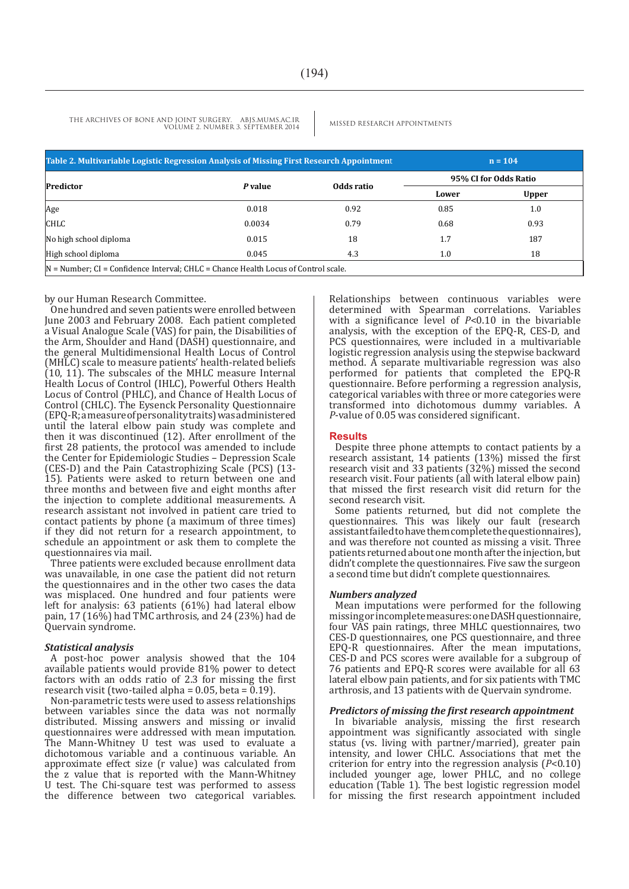THE ARCHIVES OF BONE AND JOINT SURGERY. ABJS.MUMS.AC.IR MISSED RESEARCH APPOINTMENTS VOLUME 2. NUMBER 3. SEPTEMBER 2014

| Table 2. Multivariable Logistic Regression Analysis of Missing First Research Appointment | $n = 104$ |            |                       |              |  |  |
|-------------------------------------------------------------------------------------------|-----------|------------|-----------------------|--------------|--|--|
| Predictor                                                                                 | P value   | Odds ratio | 95% CI for Odds Ratio |              |  |  |
|                                                                                           |           |            | Lower                 | <b>Upper</b> |  |  |
| Age                                                                                       | 0.018     | 0.92       | 0.85                  | 1.0          |  |  |
| <b>CHLC</b>                                                                               | 0.0034    | 0.79       | 0.68                  | 0.93         |  |  |
| No high school diploma                                                                    | 0.015     | 18         | 1.7                   | 187          |  |  |
| High school diploma                                                                       | 0.045     | 4.3        | 1.0                   | 18           |  |  |
| $ N =$ Number; CI = Confidence Interval; CHLC = Chance Health Locus of Control scale.     |           |            |                       |              |  |  |

#### by our Human Research Committee.

One hundred and seven patients were enrolled between June 2003 and February 2008. Each patient completed a Visual Analogue Scale (VAS) for pain, the Disabilities of the Arm, Shoulder and Hand (DASH) questionnaire, and the general Multidimensional Health Locus of Control (MHLC) scale to measure patients' health-related beliefs  $(10, 11)$ . The subscales of the MHLC measure Internal Health Locus of Control (IHLC), Powerful Others Health Locus of Control (PHLC), and Chance of Health Locus of Control (CHLC). The Eysenck Personality Questionnaire (EPQ-R; a measure of personality traits) was administered until the lateral elbow pain study was complete and then it was discontinued (12). After enrollment of the first 28 patients, the protocol was amended to include the Center for Epidemiologic Studies – Depression Scale (CES-D) and the Pain Catastrophizing Scale (PCS) (13- 15). Patients were asked to return between one and three months and between five and eight months after the injection to complete additional measurements. A research assistant not involved in patient care tried to contact patients by phone (a maximum of three times) if they did not return for a research appointment, to schedule an appointment or ask them to complete the questionnaires via mail.

Three patients were excluded because enrollment data was unavailable, in one case the patient did not return the questionnaires and in the other two cases the data was misplaced. One hundred and four patients were left for analysis: 63 patients (61%) had lateral elbow pain, 17 (16%) had TMC arthrosis, and 24 (23%) had de Quervain syndrome.

#### *Statistical analysis*

A post-hoc power analysis showed that the 104 available patients would provide 81% power to detect factors with an odds ratio of 2.3 for missing the first research visit (two-tailed alpha =  $0.05$ , beta =  $0.19$ ).

Non-parametric tests were used to assess relationships between variables since the data was not normally distributed. Missing answers and missing or invalid questionnaires were addressed with mean imputation. The Mann-Whitney U test was used to evaluate a dichotomous variable and a continuous variable. An approximate effect size (r value) was calculated from the z value that is reported with the Mann-Whitney U test. The Chi-square test was performed to assess the difference between two categorical variables.

Relationships between continuous variables were determined with Spearman correlations. Variables with a significance level of *P*<0.10 in the bivariable analysis, with the exception of the EPQ-R, CES-D, and PCS questionnaires, were included in a multivariable logistic regression analysis using the stepwise backward method. A separate multivariable regression was also performed for patients that completed the EPQ-R questionnaire. Before performing a regression analysis, categorical variables with three or more categories were transformed into dichotomous dummy variables. A *P*-value of 0.05 was considered significant.

#### **Results**

Despite three phone attempts to contact patients by a research assistant, 14 patients (13%) missed the first research visit and 33 patients (32%) missed the second research visit. Four patients (all with lateral elbow pain) that missed the first research visit did return for the second research visit.

Some patients returned, but did not complete the questionnaires. This was likely our fault (research assistant failed to have them complete the questionnaires), and was therefore not counted as missing a visit. Three patients returned about one month after the injection, but didn't complete the questionnaires. Five saw the surgeon a second time but didn't complete questionnaires.

#### *Numbers analyzed*

Mean imputations were performed for the following missing or incomplete measures: one DASH questionnaire, four VAS pain ratings, three MHLC questionnaires, two CES-D questionnaires, one PCS questionnaire, and three EPQ-R questionnaires. After the mean imputations, CES-D and PCS scores were available for a subgroup of 76 patients and EPQ-R scores were available for all 63 lateral elbow pain patients, and for six patients with TMC arthrosis, and 13 patients with de Quervain syndrome.

#### *Predictors of missing the first research appointment*

In bivariable analysis, missing the first research appointment was significantly associated with single status (vs. living with partner/married), greater pain intensity, and lower CHLC. Associations that met the criterion for entry into the regression analysis (*P*<0.10) included younger age, lower PHLC, and no college education (Table 1). The best logistic regression model for missing the first research appointment included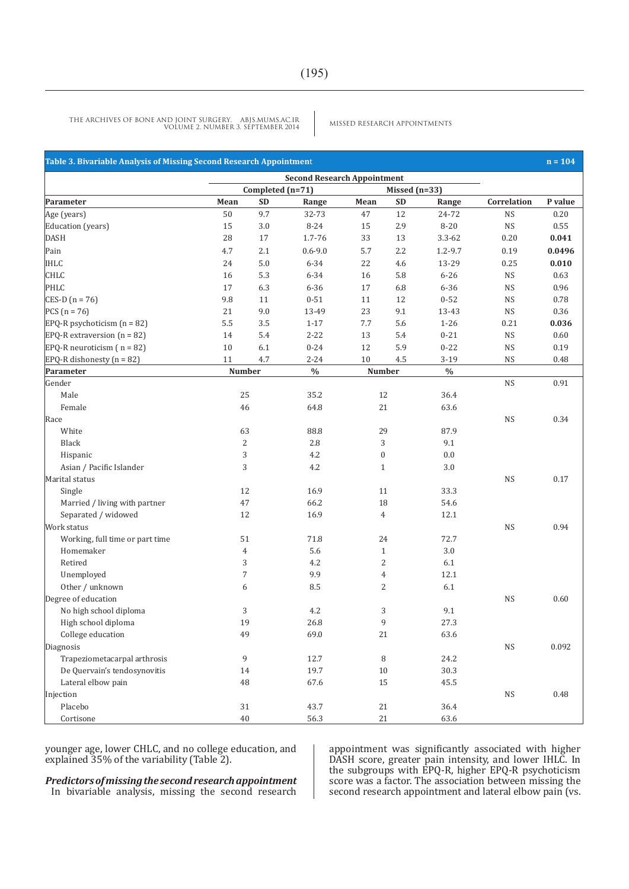MISSED RESEARCH APPOINTMENTS THE ARCHIVES OF BONE AND JOINT SURGERY. ABJS.MUMS.AC.IR VOLUME 2. NUMBER 3. SEPTEMBER 2014

| Table 3. Bivariable Analysis of Missing Second Research Appointment |                                    |                  |             |                  |               |               |             | $n = 104$ |
|---------------------------------------------------------------------|------------------------------------|------------------|-------------|------------------|---------------|---------------|-------------|-----------|
|                                                                     | <b>Second Research Appointment</b> |                  |             |                  |               |               |             |           |
|                                                                     |                                    | Completed (n=71) |             |                  | Missed (n=33) |               |             |           |
| Parameter                                                           | Mean                               | <b>SD</b>        | Range       | Mean             | <b>SD</b>     | Range         | Correlation | P value   |
| Age (years)                                                         | 50                                 | 9.7              | 32-73       | 47               | 12            | 24-72         | <b>NS</b>   | 0.20      |
| Education (years)                                                   | 15                                 | 3.0              | $8 - 24$    | 15               | 2.9           | $8 - 20$      | <b>NS</b>   | 0.55      |
| <b>DASH</b>                                                         | 28                                 | 17               | 1.7-76      | 33               | 13            | $3.3 - 62$    | 0.20        | 0.041     |
| Pain                                                                | 4.7                                | 2.1              | $0.6 - 9.0$ | 5.7              | 2.2           | $1.2 - 9.7$   | 0.19        | 0.0496    |
| <b>IHLC</b>                                                         | 24                                 | $5.0\,$          | $6 - 34$    | 22               | 4.6           | 13-29         | 0.25        | 0.010     |
| <b>CHLC</b>                                                         | 16                                 | 5.3              | $6 - 34$    | 16               | 5.8           | $6 - 26$      | <b>NS</b>   | 0.63      |
| PHLC                                                                | 17                                 | 6.3              | $6 - 36$    | 17               | 6.8           | $6 - 36$      | <b>NS</b>   | 0.96      |
| $CES-D (n = 76)$                                                    | 9.8                                | 11               | $0 - 51$    | 11               | 12            | $0 - 52$      | <b>NS</b>   | 0.78      |
| $PCS(n = 76)$                                                       | 21                                 | 9.0              | 13-49       | 23               | 9.1           | 13-43         | <b>NS</b>   | 0.36      |
| $EPQ-R$ psychoticism $(n = 82)$                                     | 5.5                                | 3.5              | $1 - 17$    | 7.7              | 5.6           | $1 - 26$      | 0.21        | 0.036     |
| EPQ-R extraversion $(n = 82)$                                       | 14                                 | 5.4              | $2 - 22$    | 13               | 5.4           | $0 - 21$      | <b>NS</b>   | 0.60      |
| EPQ-R neuroticism $(n = 82)$                                        | 10                                 | 6.1              | $0 - 24$    | 12               | 5.9           | $0 - 22$      | <b>NS</b>   | 0.19      |
| EPQ-R dishonesty ( $n = 82$ )                                       | 11                                 | 4.7              | $2 - 24$    | 10               | 4.5           | $3 - 19$      | <b>NS</b>   | 0.48      |
| Parameter                                                           | <b>Number</b>                      |                  | $\%$        | <b>Number</b>    |               | $\frac{0}{0}$ |             |           |
| Gender                                                              |                                    |                  |             |                  |               |               | <b>NS</b>   | 0.91      |
| Male                                                                | 25                                 |                  | 35.2        | 12               |               | 36.4          |             |           |
| Female                                                              | 46                                 |                  | 64.8        | 21               |               | 63.6          |             |           |
| Race                                                                |                                    |                  |             |                  |               |               | <b>NS</b>   | 0.34      |
| White                                                               | 63                                 |                  | 88.8        | 29               |               | 87.9          |             |           |
| Black                                                               | $\overline{c}$                     |                  | 2.8         | 3                |               | 9.1           |             |           |
| Hispanic                                                            | 3                                  |                  | 4.2         | $\boldsymbol{0}$ |               | 0.0           |             |           |
| Asian / Pacific Islander                                            | 3                                  |                  | 4.2         | $\mathbf{1}$     |               | $3.0\,$       |             |           |
| Marital status                                                      |                                    |                  |             |                  |               |               | <b>NS</b>   | 0.17      |
| Single                                                              | 12                                 |                  | 16.9        | 11               |               | 33.3          |             |           |
| Married / living with partner                                       | 47                                 |                  | 66.2        | 18               |               | 54.6          |             |           |
| Separated / widowed                                                 | 12                                 |                  | 16.9        | 4                |               | 12.1          |             |           |
| Work status                                                         |                                    |                  |             |                  |               |               | <b>NS</b>   | 0.94      |
| Working, full time or part time                                     | 51                                 |                  | 71.8        | 24               |               | 72.7          |             |           |
| Homemaker                                                           | $\overline{4}$                     |                  | 5.6         | $\mathbf{1}$     |               | $3.0\,$       |             |           |
| Retired                                                             | 3                                  |                  | 4.2         | 2                |               | 6.1           |             |           |
| Unemployed                                                          | $\overline{7}$                     |                  | 9.9         | $\overline{4}$   |               | 12.1          |             |           |
| Other / unknown                                                     | 6                                  |                  | 8.5         | 2                |               | $6.1\,$       |             |           |
| Degree of education                                                 |                                    |                  |             |                  |               |               | <b>NS</b>   | 0.60      |
| No high school diploma                                              | 3                                  |                  | 4.2         | 3                |               | 9.1           |             |           |
| High school diploma                                                 | 19                                 |                  | 26.8        | 9                |               | 27.3          |             |           |
| College education                                                   | 49                                 |                  | 69.0        | $2\sqrt{1}$      |               | 63.6          |             |           |
| Diagnosis                                                           |                                    |                  |             |                  |               |               | <b>NS</b>   | 0.092     |
| Trapeziometacarpal arthrosis                                        | 9                                  |                  | 12.7        | 8                |               | 24.2          |             |           |
| De Quervain's tendosynovitis                                        | 14                                 |                  | 19.7        | 10               |               | 30.3          |             |           |
| Lateral elbow pain                                                  | 48                                 |                  | 67.6        | 15               |               | 45.5          |             |           |
| Injection                                                           |                                    |                  |             |                  |               |               | $_{\rm NS}$ | 0.48      |
| Placebo                                                             | 31                                 |                  | 43.7        | 21               |               | 36.4          |             |           |
| Cortisone                                                           |                                    |                  |             |                  |               | 63.6          |             |           |
|                                                                     | 40                                 |                  | 56.3        | 21               |               |               |             |           |

younger age, lower CHLC, and no college education, and explained 35% of the variability (Table 2).

*Predictors of missing the second research appointment* In bivariable analysis, missing the second research

appointment was significantly associated with higher DASH score, greater pain intensity, and lower IHLC. In the subgroups with EPQ-R, higher EPQ-R psychoticism score was a factor. The association between missing the second research appointment and lateral elbow pain (vs.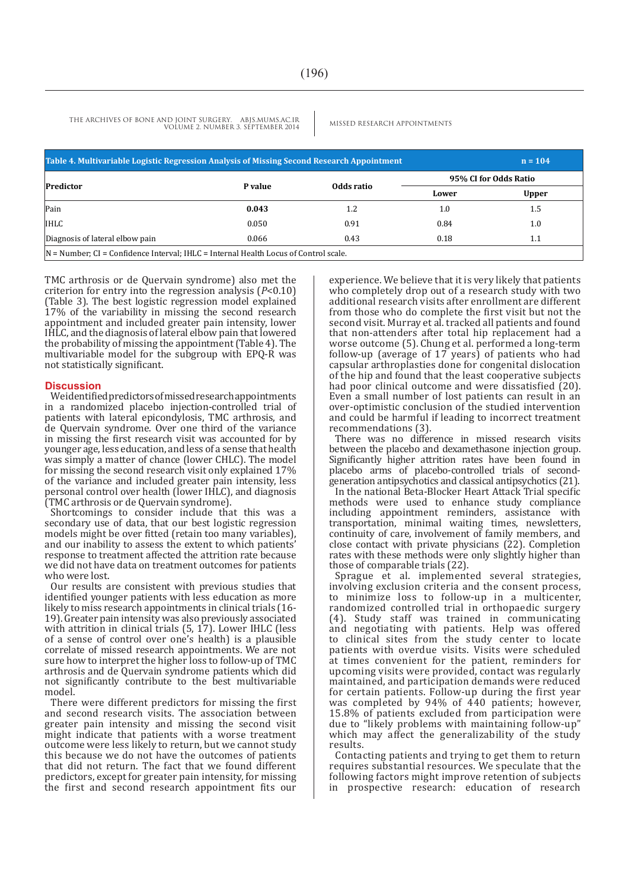THE ARCHIVES OF BONE AND JOINT SURGERY. ABJS.MUMS.AC.IR MISSED RESEARCH APPOINTMENTS VOLUME 2. NUMBER 3. SEPTEMBER 2014

| Table 4. Multivariable Logistic Regression Analysis of Missing Second Research Appointment |         | $n = 104$  |       |                       |  |  |
|--------------------------------------------------------------------------------------------|---------|------------|-------|-----------------------|--|--|
| Predictor                                                                                  | P value | Odds ratio |       | 95% CI for Odds Ratio |  |  |
|                                                                                            |         |            | Lower | Upper                 |  |  |
| Pain                                                                                       | 0.043   | 1.2        | 1.0   | 1.5                   |  |  |
| <b>IHLC</b>                                                                                | 0.050   | 0.91       | 0.84  | $1.0\,$               |  |  |
| Diagnosis of lateral elbow pain                                                            | 0.066   | 0.43       | 0.18  | 1.1                   |  |  |
| $ N =$ Number; CI = Confidence Interval; IHLC = Internal Health Locus of Control scale.    |         |            |       |                       |  |  |

TMC arthrosis or de Quervain syndrome) also met the criterion for entry into the regression analysis (*P*<0.10) (Table 3). The best logistic regression model explained 17% of the variability in missing the second research appointment and included greater pain intensity, lower IHLC, and the diagnosis of lateral elbow pain that lowered the probability of missing the appointment (Table 4). The multivariable model for the subgroup with EPQ-R was not statistically significant.

#### **Discussion**

We identified predictors of missed research appointments in a randomized placebo injection-controlled trial of patients with lateral epicondylosis, TMC arthrosis, and de Quervain syndrome. Over one third of the variance in missing the first research visit was accounted for by younger age, less education, and less of a sense that health was simply a matter of chance (lower CHLC). The model for missing the second research visit only explained 17% of the variance and included greater pain intensity, less personal control over health (lower IHLC), and diagnosis (TMC arthrosis or de Quervain syndrome).

Shortcomings to consider include that this was a secondary use of data, that our best logistic regression models might be over fitted (retain too many variables), and our inability to assess the extent to which patients' response to treatment affected the attrition rate because we did not have data on treatment outcomes for patients who were lost.

Our results are consistent with previous studies that identified younger patients with less education as more likely to miss research appointments in clinical trials (16-19). Greater pain intensity was also previously associated with attrition in clinical trials (5, 17). Lower IHLC (less of a sense of control over one's health) is a plausible correlate of missed research appointments. We are not sure how to interpret the higher loss to follow-up of TMC arthrosis and de Quervain syndrome patients which did not significantly contribute to the best multivariable model.

There were different predictors for missing the first and second research visits. The association between greater pain intensity and missing the second visit might indicate that patients with a worse treatment outcome were less likely to return, but we cannot study this because we do not have the outcomes of patients that did not return. The fact that we found different predictors, except for greater pain intensity, for missing the first and second research appointment fits our

experience. We believe that it is very likely that patients who completely drop out of a research study with two additional research visits after enrollment are different from those who do complete the first visit but not the second visit. Murray et al. tracked all patients and found that non-attenders after total hip replacement had a worse outcome (5). Chung et al. performed a long-term follow-up (average of 17 years) of patients who had capsular arthroplasties done for congenital dislocation of the hip and found that the least cooperative subjects had poor clinical outcome and were dissatisfied (20). Even a small number of lost patients can result in an over-optimistic conclusion of the studied intervention and could be harmful if leading to incorrect treatment recommendations (3).

There was no difference in missed research visits between the placebo and dexamethasone injection group. Significantly higher attrition rates have been found in placebo arms of placebo-controlled trials of secondgeneration antipsychotics and classical antipsychotics (21).

In the national Beta-Blocker Heart Attack Trial specific methods were used to enhance study compliance including appointment reminders, assistance with transportation, minimal waiting times, newsletters, continuity of care, involvement of family members, and close contact with private physicians (22). Completion rates with these methods were only slightly higher than those of comparable trials (22).

Sprague et al. implemented several strategies, involving exclusion criteria and the consent process, to minimize loss to follow-up in a multicenter, randomized controlled trial in orthopaedic surgery (4). Study staff was trained in communicating and negotiating with patients. Help was offered to clinical sites from the study center to locate patients with overdue visits. Visits were scheduled at times convenient for the patient, reminders for upcoming visits were provided, contact was regularly maintained, and participation demands were reduced for certain patients. Follow-up during the first year was completed by 94% of 440 patients; however, 15.8% of patients excluded from participation were due to "likely problems with maintaining follow-up" which may affect the generalizability of the study results.

Contacting patients and trying to get them to return requires substantial resources. We speculate that the following factors might improve retention of subjects in prospective research: education of research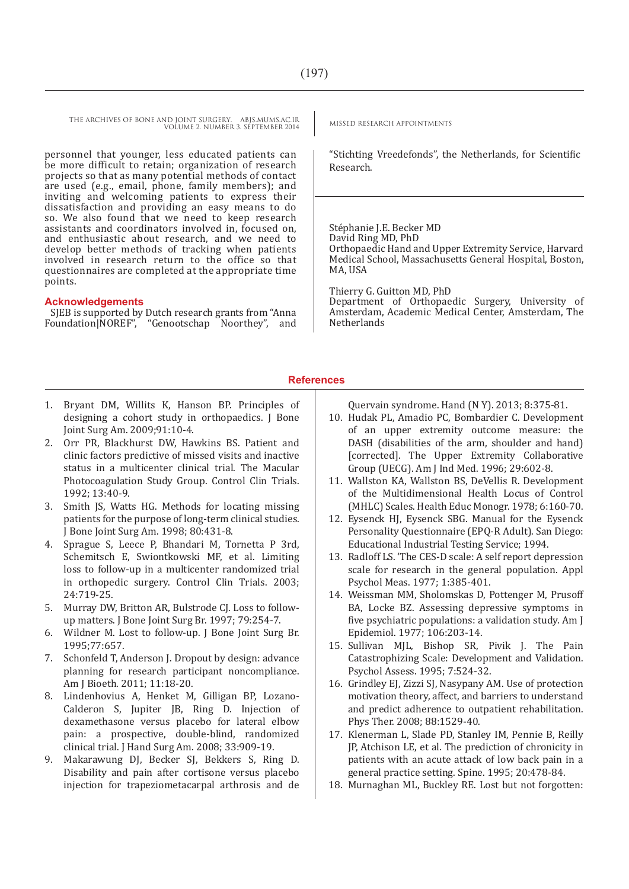THE ARCHIVES OF BONE AND JOINT SURGERY. ABJS.MUMS.AC.IR MISSED RESEARCH APPOINTMENTS VOLUME 2. NUMBER 3. SEPTEMBER 2014

personnel that younger, less educated patients can be more difficult to retain; organization of research projects so that as many potential methods of contact are used (e.g., email, phone, family members); and inviting and welcoming patients to express their dissatisfaction and providing an easy means to do so. We also found that we need to keep research assistants and coordinators involved in, focused on, and enthusiastic about research, and we need to develop better methods of tracking when patients involved in research return to the office so that questionnaires are completed at the appropriate time points.

#### **Acknowledgements**

SJEB is supported by Dutch research grants from "Anna Foundation|NOREF", "Genootschap Noorthey", and

"Stichting Vreedefonds", the Netherlands, for Scientific Research.

Stéphanie J.E. Becker MD David Ring MD, PhD Orthopaedic Hand and Upper Extremity Service, Harvard Medical School, Massachusetts General Hospital, Boston, MA, USA

Thierry G. Guitton MD, PhD Department of Orthopaedic Surgery, University of Amsterdam, Academic Medical Center, Amsterdam, The Netherlands

#### **References**

- 1. Bryant DM, Willits K, Hanson BP. Principles of designing a cohort study in orthopaedics. I Bone Joint Surg Am. 2009;91:10-4.
- 2. Orr PR, Blackhurst DW, Hawkins BS. Patient and clinic factors predictive of missed visits and inactive status in a multicenter clinical trial. The Macular Photocoagulation Study Group. Control Clin Trials. 1992; 13:40-9.
- 3. Smith JS, Watts HG. Methods for locating missing patients for the purpose of long-term clinical studies. J Bone Joint Surg Am. 1998; 80:431-8.
- 4. Sprague S, Leece P, Bhandari M, Tornetta P 3rd, Schemitsch E, Swiontkowski MF, et al. Limiting loss to follow-up in a multicenter randomized trial in orthopedic surgery. Control Clin Trials. 2003; 24:719-25.
- 5. Murray DW, Britton AR, Bulstrode CJ. Loss to followup matters. J Bone Joint Surg Br. 1997; 79:254-7.
- 6. Wildner M. Lost to follow-up. J Bone Joint Surg Br. 1995;77:657.
- 7. Schonfeld T, Anderson J. Dropout by design: advance planning for research participant noncompliance. Am J Bioeth. 2011; 11:18-20.
- 8. Lindenhovius A, Henket M, Gilligan BP, Lozano-Calderon S, Jupiter JB, Ring D. Injection of dexamethasone versus placebo for lateral elbow pain: a prospective, double-blind, randomized clinical trial. J Hand Surg Am. 2008; 33:909-19.
- 9. Makarawung DJ, Becker SJ, Bekkers S, Ring D. Disability and pain after cortisone versus placebo injection for trapeziometacarpal arthrosis and de

Quervain syndrome. Hand (N Y). 2013; 8:375-81.

- 10. Hudak PL, Amadio PC, Bombardier C. Development of an upper extremity outcome measure: the DASH (disabilities of the arm, shoulder and hand) [corrected]. The Upper Extremity Collaborative Group (UECG). Am J Ind Med. 1996; 29:602-8.
- 11. Wallston KA, Wallston BS, DeVellis R. Development of the Multidimensional Health Locus of Control (MHLC) Scales. Health Educ Monogr. 1978; 6:160-70.
- 12. Eysenck HJ, Eysenck SBG. Manual for the Eysenck Personality Questionnaire (EPQ-R Adult). San Diego: Educational Industrial Testing Service; 1994.
- 13. Radloff LS. 'The CES-D scale: A self report depression scale for research in the general population. Appl Psychol Meas. 1977; 1:385-401.
- 14. Weissman MM, Sholomskas D, Pottenger M, Prusoff BA, Locke BZ. Assessing depressive symptoms in five psychiatric populations: a validation study. Am J Epidemiol. 1977; 106:203-14.
- 15. Sullivan MJL, Bishop SR, Pivik J. The Pain Catastrophizing Scale: Development and Validation. Psychol Assess. 1995; 7:524-32.
- 16. Grindley EJ, Zizzi SJ, Nasypany AM. Use of protection motivation theory, affect, and barriers to understand and predict adherence to outpatient rehabilitation. Phys Ther. 2008; 88:1529-40.
- 17. Klenerman L, Slade PD, Stanley IM, Pennie B, Reilly JP, Atchison LE, et al. The prediction of chronicity in patients with an acute attack of low back pain in a general practice setting. Spine. 1995; 20:478-84.
- 18. Murnaghan ML, Buckley RE. Lost but not forgotten: